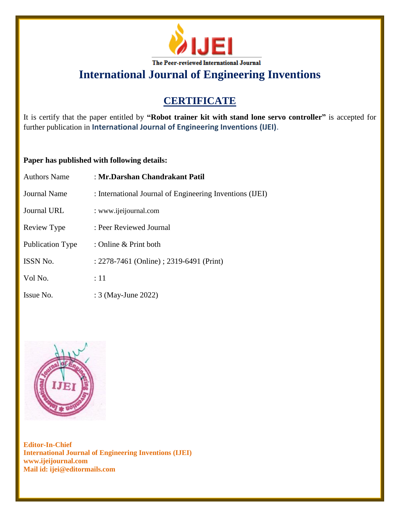

# **CERTIFICATE**

It is certify that the paper entitled by **"Robot trainer kit with stand lone servo controller"** is accepted for further publication in **International Journal of Engineering Inventions (IJEI)**.

### **Paper has published with following details:**

| <b>Authors Name</b>     | : Mr.Darshan Chandrakant Patil                           |
|-------------------------|----------------------------------------------------------|
| Journal Name            | : International Journal of Engineering Inventions (IJEI) |
| Journal URL             | : www.ijeijournal.com                                    |
| Review Type             | : Peer Reviewed Journal                                  |
| <b>Publication Type</b> | : Online & Print both                                    |
| ISSN No.                | : 2278-7461 (Online) ; 2319-6491 (Print)                 |
| Vol No.                 | :11                                                      |
| Issue No.               | : 3 (May-June 2022)                                      |

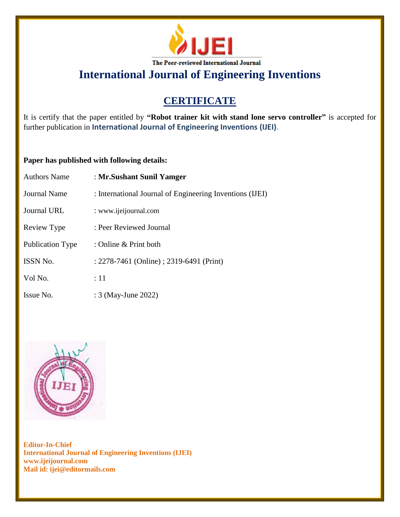

# **CERTIFICATE**

It is certify that the paper entitled by **"Robot trainer kit with stand lone servo controller"** is accepted for further publication in **International Journal of Engineering Inventions (IJEI)**.

### **Paper has published with following details:**

| <b>Authors Name</b>     | : Mr. Sushant Sunil Yamger                               |
|-------------------------|----------------------------------------------------------|
| <b>Journal Name</b>     | : International Journal of Engineering Inventions (IJEI) |
| Journal URL             | : www.ijeijournal.com                                    |
| Review Type             | : Peer Reviewed Journal                                  |
| <b>Publication Type</b> | : Online $&$ Print both                                  |
| <b>ISSN No.</b>         | : 2278-7461 (Online) ; 2319-6491 (Print)                 |
| Vol No.                 | :11                                                      |
| Issue No.               | : 3 (May-June 2022)                                      |

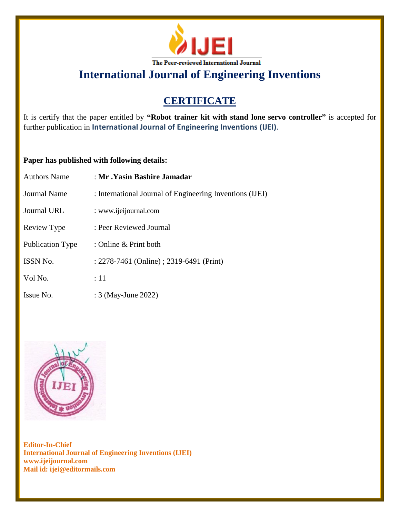

# **CERTIFICATE**

It is certify that the paper entitled by **"Robot trainer kit with stand lone servo controller"** is accepted for further publication in **International Journal of Engineering Inventions (IJEI)**.

### **Paper has published with following details:**

| <b>Authors Name</b>     | : Mr .Yasin Bashire Jamadar                              |
|-------------------------|----------------------------------------------------------|
| <b>Journal Name</b>     | : International Journal of Engineering Inventions (IJEI) |
| Journal URL             | : www.ijeijournal.com                                    |
| Review Type             | : Peer Reviewed Journal                                  |
| <b>Publication Type</b> | : Online $&$ Print both                                  |
| <b>ISSN No.</b>         | : 2278-7461 (Online) ; 2319-6491 (Print)                 |
| Vol No.                 | :11                                                      |
| Issue No.               | : 3 (May-June 2022)                                      |

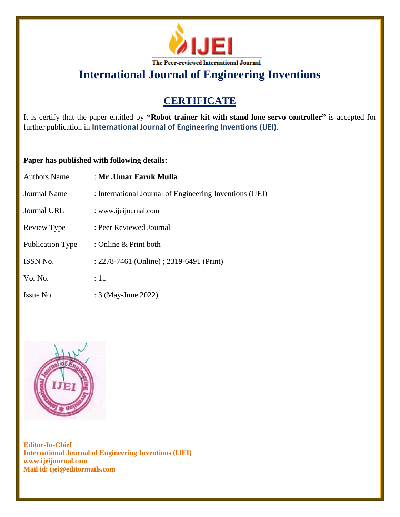

# **CERTIFICATE**

It is certify that the paper entitled by **"Robot trainer kit with stand lone servo controller"** is accepted for further publication in **International Journal of Engineering Inventions (IJEI)**.

### **Paper has published with following details:**

| <b>Authors Name</b>     | : Mr .Umar Faruk Mulla                                   |
|-------------------------|----------------------------------------------------------|
| <b>Journal Name</b>     | : International Journal of Engineering Inventions (IJEI) |
| <b>Journal URL</b>      | : www.ijeijournal.com                                    |
| Review Type             | : Peer Reviewed Journal                                  |
| <b>Publication Type</b> | : Online $&$ Print both                                  |
| ISSN No.                | : 2278-7461 (Online) ; 2319-6491 (Print)                 |
| Vol No.                 | :11                                                      |
| Issue No.               | : 3 (May-June 2022)                                      |